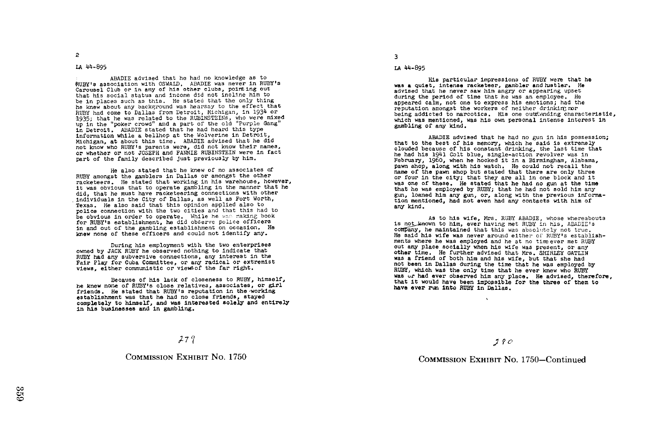### LA 44-895

ABADIE advised that he had no knowledge as to RUBY's association with OSWALD. ABADIE was never in RUBY's Carousel Club or in any of his other clubs, pointing out that his social status and income did not inclIne him to be in places such as this. He stated that the only thing<br>he knew about any background was hearsay to the effect that he knew about any background was hearsay to the effect that<br>RUBY had come to Dallas from Detroit, Michigan, in 1934 or 1935; that he was related to the RUBINSTEINs, who were mixed<br>up in the "poker crowd" and a part of the old "Purple Gang"<br>is latent a pants stated that he had heard this type In Detroit . ABADIE stated that he had heard this type information while a bellhop at the Wolverine in Detroit, Michigan, at about this time . ABADIE advised that he did not know who RUBY's parents were, did not know their names, or whether or not JOSEPH and FANNIE RUBINSTEIN were in fact part of the family described just previously by him .

He also stated that he knew of no associates of RUBY amongst the gamblers in Dallas or amongst the other racketeers . He stated that working in his warehouse, however, it was obvious that to operate gambling in the manner that he did, that he must have racketeering connections with other individuals in the City of Dallas, as well as Fort Worth, Texas. He also said that this opinion applied also to police connection with the two cities and that this had to be obvious in order to operate. While he was making book for RUBY's establishment, he did observe police officers in and out of the gambling establishment on occasion. He knew none of these officers and could not identify any .

During his employment with the two enterprises owned by JACK RUBY he observed nothing to indicate that RUBY had any subversive connections, any interest in the Fair Play for Cuba Committee, or any radical or extremist views, either communistic or viewsof the far right .

Because of his lack of closeness to RUBY, himself, he knew none of RUBY's close relatives, associates, or girl friends. He stated that RUBY's reputation in the working establishment was that he had no close friends, stayed completely to himself, and was interested solely and entirely in his businesses and in gambling .

# $279$

COMMISSION EXHIBIT NO. 1750

3

#### LA 44-895

His particular impressions of RUBY were that he was a quiet, intense racketeer, gambler and hustler. He advised that he never saw him angry or appearing upset during the period of time that he was an employee. He appeared calm, not one to express his emotions; had the reputation amongst the workers of neither drinking nor being addicted to narcotics. His one outstanding characteristic, which was mentioned, was his own personal intense interest in gambling of any kind.

ABADIE advised that he had no gun in his possession; that to the best of his memory, which he said is extremely clouded because of his constant drinking, the last time that he had his 1941 Colt blue, single-action revolver was in February, 1960, when he hocked it in a Birmingham, Alabama, pawn shop, along with his watch. He could not recall the name of the pawn shop but stated that there are only three or four in the city; that they are all in one block and it was one of these. He stated that he had no gun at the time that he was employed by RUBY; that he had not sold him any gun, loaned him any gun, or, along with the previous information mentioned, had not even had any contacts with him of any kind .

As to his wife, Mrs. RUBY ABADIE, whose whereabouts is not wn to him, ever having met RUBY in his, ABADIE's company, he maintained that this was absolutely not true. He said his wife was never around either of RUBY'S establishments where he was employed and he at no time ever met RUBY out any place socially when his wife was present, or any other time. He further advised that Mrs. SHIRLEY GATLIN was a friend of both him and his wife, but that she had not been in Dallas during the time that he was employed by RUBY, which was the only time that he ever knew who RUBY was or had ever observed him any place. He advised, therefore, that it would have been impossible for the three of them to have ever run into RUBY in Dallas.

<sup>17</sup> ¢o

### COMMISSION EXHIBIT NO. 1750-Continued